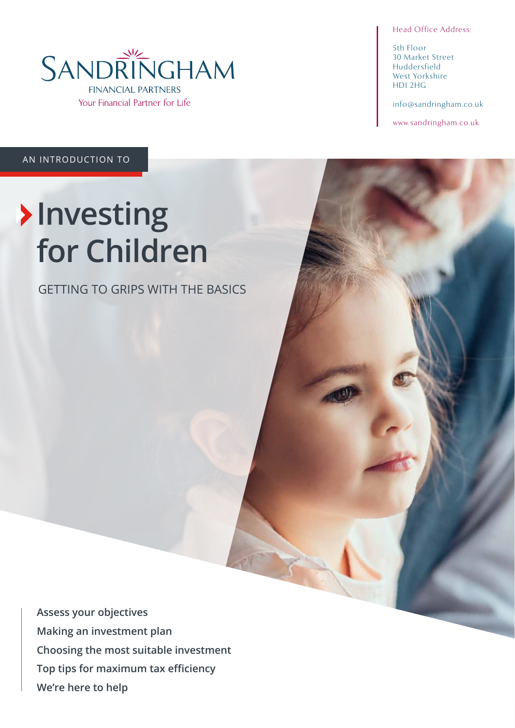

Head Office Address:

5th Floor 30 Market Street Huddersfield West Yorkshire HD1 2HG

info@sandringham.co.uk

www.sandringham.co.uk

AN INTRODUCTION TO

# **Investing for Children**

GETTING TO GRIPS WITH THE BASICS

**Assess your objectives Making an investment plan Choosing the most suitable investment Top tips for maximum tax efficiency We're here to help**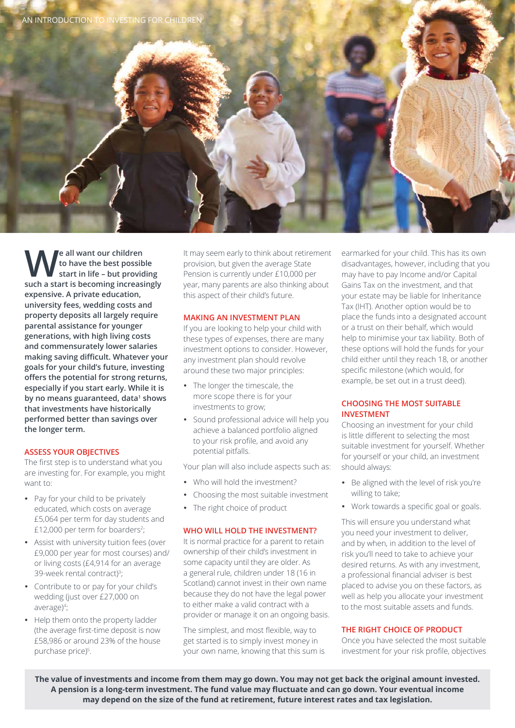

**We all want our children**<br>to have the best possib<br>such a start is becoming increase **to have the best possible start in life – but providing such a start is becoming increasingly expensive. A private education, university fees, wedding costs and property deposits all largely require parental assistance for younger generations, with high living costs and commensurately lower salaries making saving difficult. Whatever your goals for your child's future, investing offers the potential for strong returns, especially if you start early. While it is**  by no means guaranteed, data<sup>1</sup> shows **that investments have historically performed better than savings over the longer term.** 

# **ASSESS YOUR OBJECTIVES**

The first step is to understand what you are investing for. For example, you might want to:

- Pay for your child to be privately educated, which costs on average £5,064 per term for day students and  $£12,000$  per term for boarders<sup>2</sup>;
- Assist with university tuition fees (over £9,000 per year for most courses) and/ or living costs (£4,914 for an average 39-week rental contract)<sup>3</sup>;
- Contribute to or pay for your child's wedding (just over £27,000 on average)4 ;
- Help them onto the property ladder (the average first-time deposit is now £58,986 or around 23% of the house purchase price)<sup>5</sup>.

It may seem early to think about retirement provision, but given the average State Pension is currently under £10,000 per year, many parents are also thinking about this aspect of their child's future.

# **MAKING AN INVESTMENT PLAN**

If you are looking to help your child with these types of expenses, there are many investment options to consider. However, any investment plan should revolve around these two major principles:

- The longer the timescale, the more scope there is for your investments to grow;
- Sound professional advice will help you achieve a balanced portfolio aligned to your risk profile, and avoid any potential pitfalls.

Your plan will also include aspects such as:

- Who will hold the investment?
- Choosing the most suitable investment
- The right choice of product

#### **WHO WILL HOLD THE INVESTMENT?**

It is normal practice for a parent to retain ownership of their child's investment in some capacity until they are older. As a general rule, children under 18 (16 in Scotland) cannot invest in their own name because they do not have the legal power to either make a valid contract with a provider or manage it on an ongoing basis.

The simplest, and most flexible, way to get started is to simply invest money in your own name, knowing that this sum is earmarked for your child. This has its own disadvantages, however, including that you may have to pay Income and/or Capital Gains Tax on the investment, and that your estate may be liable for Inheritance Tax (IHT). Another option would be to place the funds into a designated account or a trust on their behalf, which would help to minimise your tax liability. Both of these options will hold the funds for your child either until they reach 18, or another specific milestone (which would, for example, be set out in a trust deed).

# **CHOOSING THE MOST SUITABLE INVESTMENT**

Choosing an investment for your child is little different to selecting the most suitable investment for yourself. Whether for yourself or your child, an investment should always:

- Be aligned with the level of risk you're willing to take;
- Work towards a specific goal or goals.

This will ensure you understand what you need your investment to deliver, and by when, in addition to the level of risk you'll need to take to achieve your desired returns. As with any investment, a professional financial adviser is best placed to advise you on these factors, as well as help you allocate your investment to the most suitable assets and funds.

# **THE RIGHT CHOICE OF PRODUCT**

Once you have selected the most suitable investment for your risk profile, objectives

**The value of investments and income from them may go down. You may not get back the original amount invested. A pension is a long-term investment. The fund value may fluctuate and can go down. Your eventual income may depend on the size of the fund at retirement, future interest rates and tax legislation.**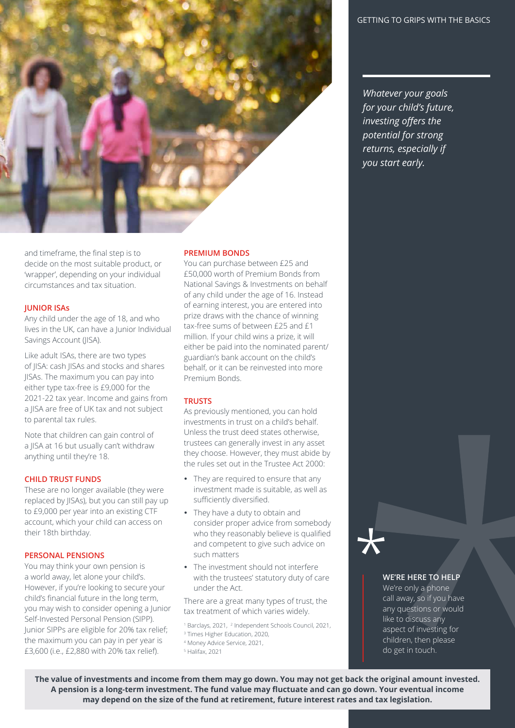

*Whatever your goals for your child's future, investing offers the potential for strong returns, especially if you start early.*

and timeframe, the final step is to decide on the most suitable product, or 'wrapper', depending on your individual circumstances and tax situation.

# **JUNIOR ISAs**

Any child under the age of 18, and who lives in the UK, can have a Junior Individual Savings Account (JISA).

Like adult ISAs, there are two types of JISA: cash JISAs and stocks and shares JISAs. The maximum you can pay into either type tax-free is £9,000 for the 2021-22 tax year. Income and gains from a JISA are free of UK tax and not subject to parental tax rules.

Note that children can gain control of a JISA at 16 but usually can't withdraw anything until they're 18.

# **CHILD TRUST FUNDS**

These are no longer available (they were replaced by JISAs), but you can still pay up to £9,000 per year into an existing CTF account, which your child can access on their 18th birthday.

# **PERSONAL PENSIONS**

You may think your own pension is a world away, let alone your child's. However, if you're looking to secure your child's financial future in the long term, you may wish to consider opening a Junior Self-Invested Personal Pension (SIPP). Junior SIPPs are eligible for 20% tax relief; the maximum you can pay in per year is £3,600 (i.e., £2,880 with 20% tax relief).

#### **PREMIUM BONDS**

You can purchase between £25 and £50,000 worth of Premium Bonds from National Savings & Investments on behalf of any child under the age of 16. Instead of earning interest, you are entered into prize draws with the chance of winning tax-free sums of between £25 and £1 million. If your child wins a prize, it will either be paid into the nominated parent/ guardian's bank account on the child's behalf, or it can be reinvested into more Premium Bonds.

#### **TRUSTS**

As previously mentioned, you can hold investments in trust on a child's behalf. Unless the trust deed states otherwise, trustees can generally invest in any asset they choose. However, they must abide by the rules set out in the Trustee Act 2000:

- They are required to ensure that any investment made is suitable, as well as sufficiently diversified.
- They have a duty to obtain and consider proper advice from somebody who they reasonably believe is qualified and competent to give such advice on such matters
- The investment should not interfere with the trustees' statutory duty of care under the Act.

There are a great many types of trust, the tax treatment of which varies widely.

<sup>1</sup> Barclays, 2021, <sup>2</sup> Independent Schools Council, 2021,

3 Times Higher Education, 2020,

4 Money Advice Service, 2021,

5 Halifax, 2021

# **WE'RE HERE TO HELP**

We're only a phone call away, so if you have any questions or would like to discuss any aspect of investing for children, then please do get in touch.

**The value of investments and income from them may go down. You may not get back the original amount invested. A pension is a long-term investment. The fund value may fluctuate and can go down. Your eventual income may depend on the size of the fund at retirement, future interest rates and tax legislation.**